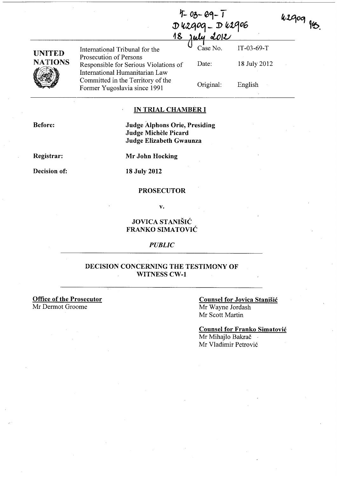$42909$  fts.

| UNITED         |  |
|----------------|--|
| <b>NATIONS</b> |  |
|                |  |

Prosecution of Persons Responsible for Serious Violations of Date: 18 July 2012 International Humanitarian Law Committed in the Territory of the Former Yugoslavia since 1991 Original: English

18 july 2012 International Tribunal for the Case No. IT-03-69-T

l) Ittlti0Gj - J) *01406* 

 $4 - 03 - 69 - 1$ 

# IN TRIAL CHAMBER I

Before:

# Judge Alphons Orie, Presiding Judge Michèle Picard Judge Elizabeth Gwaunza

Registrar:

Decision of:

Mr John Hocking

18 July 2012

#### PROSECUTOR

v.

# JOVICA STANISIC FRANKO SIMATOVIC

#### *PUBLIC*

# DECISION CONCERNING THE TESTIMONY OF WITNESS CW-1

Office of the Prosecutor Mr Dermot Groome

### Counsel for Jovica Stanisic Mr Wayne Jordash Mr Scott Martin

Counsel for Franko Simatovic Mr Mihajlo Bakrač Mr Vladimir Petrovic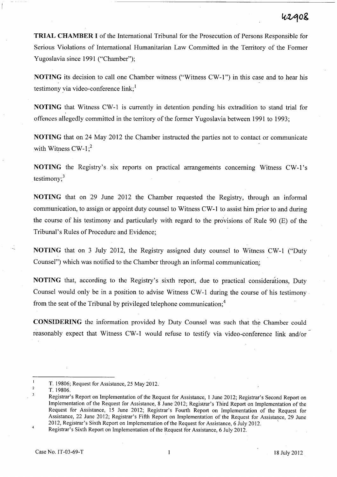TRIAL CHAMBER I of the International Tribunal for the Prosecution of Persons Responsible for Serious Violations of International Humanitarian Law Committed in the Territory of the Former Yugoslavia since 1991 ("Chamber");

NOTING its decision to call one Chamber witness ("Witness CW -1") in this case and to hear his testimony via video-conference  $link_i^1$ 

NOTING that Witness CW-l is currently in detention pending his extradition to stand trial for offences allegedly committed in the territory of the former Yugoslavia between 1991 to 1993;

NOTING that on 24 May 2012 the Chamber instructed the parties not to contact or communicate with Witness  $CW-1$ ;<sup>2</sup>

NOTING the Registry's six reports on practical arrangements concerning Witness CW-1's testimony; $3$ 

NOTING that on 29 June 2012 the Chamber requested the Registry, through an informal communication, to assign or appoint duty counsel to Witness CW -1 to assist him prior to and during the course of his testimony and particularly with regard to the provisions of Rule 90  $(E)$  of the Tribunal's Rules of Procedure and Evidence;

NOTING that on 3 July 2012, the Registry assigned duty counsel to Witness CW-l ("Duty Counsel") which was notified to the Chamber through an informal communication;

NOTING that, according to the Registry's sixth report, due to practical considerations, Duty Counsel would only be in a position to advise Witness CW -1 during the course of his testimony. from the seat of the Tribunal by privileged telephone communication;<sup>4</sup>

CONSIDERING the information provided by Duty Counsel was such that the Chamber could reasonably expect that Witness CW-1 would refuse to testify via video-conference link and/or

T. 19806; Request for Assistance, 25 May 2012.

<sup>2</sup>  T.19806.

 $\overline{\mathbf{3}}$ Registrar's Report on Implementation of the Request for Assistance, 1 June 2012; Registrar's Second Report on Implementation of the Request for Assistance, 8 June 2012; Registrar's Third Report on Implementation of the Request for Assistance, 15 June 2012; Registrar's Fourth Report on Implementation of the Request for Assistance, 22 June 2012; Registrar's Fifth Report on Implementation of the Request for Assistance, 29 June 2012, Registrar's Sixth Report on Implementation of the Request for Assistance, 6 July 2012. \

<sup>4</sup>  Registrar's Sixth Report on Implementation of the Request for Assistance, 6 July 2012.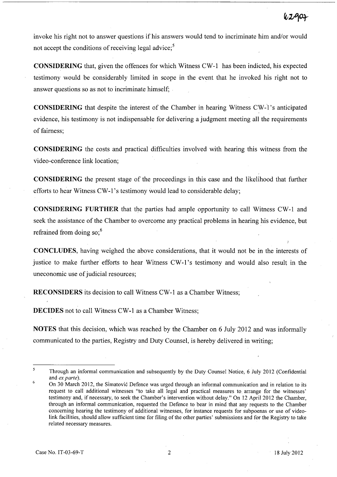invoke his right not to answer questions if his answers would tend to incriminate him and/or would not accept the conditions of receiving legal advice; $5$ 

CONSIDERING that, given the offences for which Witness CW-1 has been indicted, his expected testimony would be considerably limited in scope in the event that he invoked his right not to answer questions so as not to incriminate himself; .

CONSIDERING that despite the interest of the Chamber in hearing Witness CW-l's anticipated evidence, his testimony is not indispensable for delivering a judgment meeting all the requirements of fairness;

CONSIDERING the costs and practical difficulties involved with hearing this witness from the video-conference link location;

CONSIDERING the present stage of the proceedings in this case and the likelihood that further efforts to hear Witness CW-1's testimony would lead to considerable delay;

CONSIDERING FURTHER that the parties had ample opportunity to call Witness CW-l and seek the assistance of the Chamber to overcome any practical problems in hearing his evidence, but refrained from doing  $\text{so:}^6$ 

CONCLUDES, having weighed the above considerations, that it would not be in the interests of justice to make further efforts to hear Witness CW-1's testimony and would also result in the uneconomic use of judicial resources;

RECONSIDERS its decision to call Witness CW-1 as a Chamber Witness;

DECIDES not to call Witness CW-1 as a Chamber Witness;

NOTES that this decision, which was reached by the Chamber on 6 July 2012 and was informally communicated to the parties, Registry and Duty Counsel, is hereby delivered in writing;

 $\mathsf S$ Through an informal communication and subsequently by the Duty Counsel Notice, 6 July 2012 (Confidential and *ex parte).*  6

On 30 March 2012, the Simatovic Defence was urged through an informal communication and in relation to its request to call additional witnesses "to take all legal and practical measures to arrange for the witnesses' testimony and, if necessary, to seek the Chamber's intervention without delay." On 12 April 2012 the Chamber, through an informal communication, requested the Defence to bear in mind that any requests to the Chamber concerning hearing the testimony of additional witnesses, for instance requests for subpoenas or use of videolink facilities, should allow sufficient time for filing of the other parties' submissions and for the Registry to take related necessary measures.